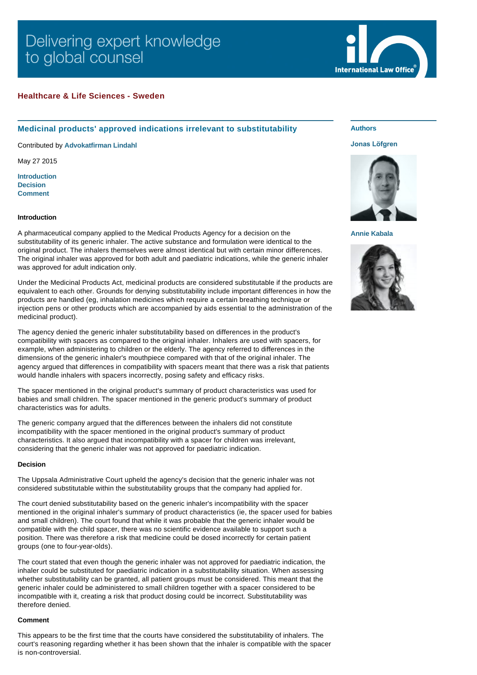# Delivering expert knowledge to global counsel



## **Healthcare & Life Sciences - Sweden**

# **Medicinal products' approved indications irrelevant to substitutability**

Contributed by **[Advokatfirman Lindahl](http://www.internationallawoffice.com/gesr.ashx?l=7NNE1GP)**

May 27 2015

**[Introduction](#page-0-0) [Decision](#page-0-1) [Comment](#page-0-2)**

#### <span id="page-0-0"></span>**Introduction**

A pharmaceutical company applied to the Medical Products Agency for a decision on the substitutability of its generic inhaler. The active substance and formulation were identical to the original product. The inhalers themselves were almost identical but with certain minor differences. The original inhaler was approved for both adult and paediatric indications, while the generic inhaler was approved for adult indication only.

Under the Medicinal Products Act, medicinal products are considered substitutable if the products are equivalent to each other. Grounds for denying substitutability include important differences in how the products are handled (eg, inhalation medicines which require a certain breathing technique or injection pens or other products which are accompanied by aids essential to the administration of the medicinal product).

The agency denied the generic inhaler substitutability based on differences in the product's compatibility with spacers as compared to the original inhaler. Inhalers are used with spacers, for example, when administering to children or the elderly. The agency referred to differences in the dimensions of the generic inhaler's mouthpiece compared with that of the original inhaler. The agency argued that differences in compatibility with spacers meant that there was a risk that patients would handle inhalers with spacers incorrectly, posing safety and efficacy risks.

The spacer mentioned in the original product's summary of product characteristics was used for babies and small children. The spacer mentioned in the generic product's summary of product characteristics was for adults.

The generic company argued that the differences between the inhalers did not constitute incompatibility with the spacer mentioned in the original product's summary of product characteristics. It also argued that incompatibility with a spacer for children was irrelevant, considering that the generic inhaler was not approved for paediatric indication.

## <span id="page-0-1"></span>**Decision**

The Uppsala Administrative Court upheld the agency's decision that the generic inhaler was not considered substitutable within the substitutability groups that the company had applied for.

The court denied substitutability based on the generic inhaler's incompatibility with the spacer mentioned in the original inhaler's summary of product characteristics (ie, the spacer used for babies and small children). The court found that while it was probable that the generic inhaler would be compatible with the child spacer, there was no scientific evidence available to support such a position. There was therefore a risk that medicine could be dosed incorrectly for certain patient groups (one to four-year-olds).

The court stated that even though the generic inhaler was not approved for paediatric indication, the inhaler could be substituted for paediatric indication in a substitutability situation. When assessing whether substitutability can be granted, all patient groups must be considered. This meant that the generic inhaler could be administered to small children together with a spacer considered to be incompatible with it, creating a risk that product dosing could be incorrect. Substitutability was therefore denied.

#### <span id="page-0-2"></span>**Comment**

This appears to be the first time that the courts have considered the substitutability of inhalers. The court's reasoning regarding whether it has been shown that the inhaler is compatible with the spacer is non-controversial.

**Authors**

## **[Jonas Löfgren](http://www.internationallawoffice.com/gesr.ashx?l=7NNE1GS)**



**[Annie Kabala](http://www.internationallawoffice.com/gesr.ashx?l=7NNE1HR)**